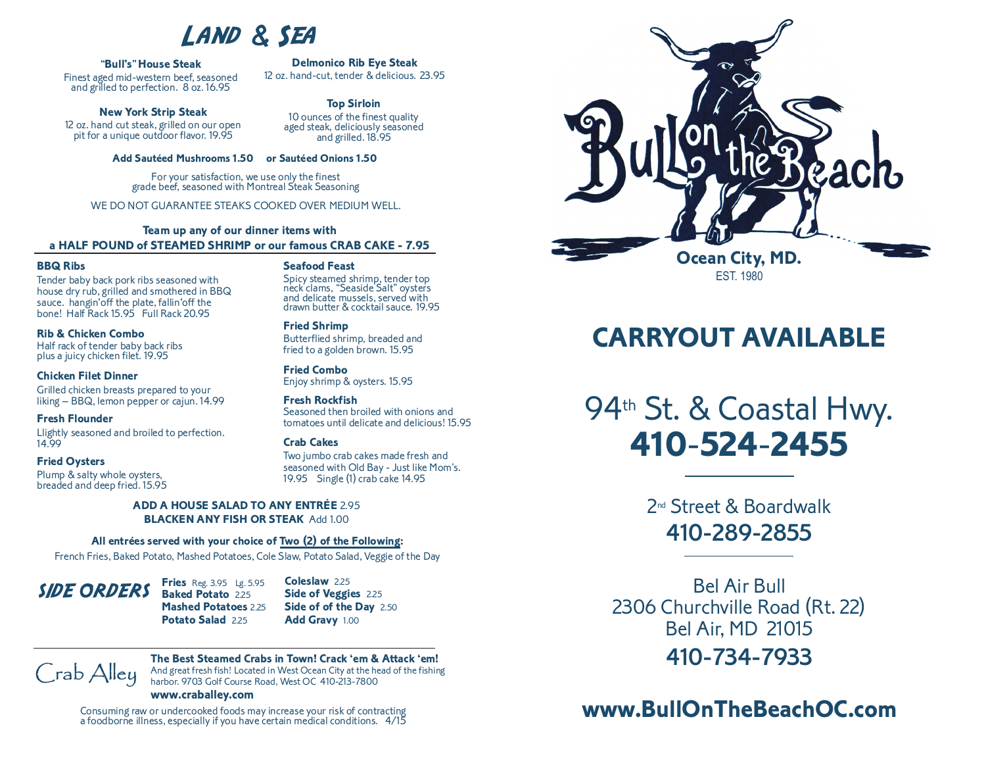# LAND & SEA

### **"Bull's"House Steak**

Finest aged mid-western beef, seasoned and grilled to perfection. <sup>8</sup> oz. 16.95

### **New York Strip Steak**

<sup>12</sup> oz. hand cut steak, grilled on our open pit for <sup>a</sup> unique outdoor flavor. 19.95

**Top Sirloin** <sup>10</sup> ounces of the finest quality aged steak, deliciously seasoned and grilled. 18.95

**Delmonico Rib Eye Steak** 12 oz. hand-cut, tender & delicious. 23.95

### **Add Sautéed Mushrooms 1.50 or Sautéed Onions 1.50**

For your satisfaction, we use only the finest grade beef, seasoned with Montreal Steak Seasoning

WE DO NOT GUARANTEE STEAKS COOKED OVER MEDIUM WELL.

### **Team up any of our dinner items with a HALF POUND of STEAMED SHRIMP or our famous CRAB CAKE - 7.95**

### **BBQ Ribs**

Tender baby back pork ribs seasoned with house dry rub, grilled and smothered in BBQ sauce. hangin'off the plate, fallin'off the bone! Half Rack 15.95 Full Rack 20.95

## **Rib & Chicken Combo**

plus a juicy chicken filet. 19.95

# **Chicken Filet Dinner**

Grilled chicken breasts prepared to your liking – BBQ, lemon pepper or cajun. 14.99

### **Fresh Flounder**

Llightly seasoned and broiled to perfection. 14.99

### **Fried Oysters**

Plump & salty whole oysters, breaded and deep fried. 15.95

### **Seafood Feast**

Spicy steamed shrimp, tender top neck clams, "Seaside Salt" oysters and delicate mussels, served with drawn butter & cocktail sauce. 19.95

### **Fried Shrimp**

Butterflied shrimp, breaded and fried to a golden brown. 15.95

### **Fried Combo**

Enjoy shrimp & oysters. 15.95

### **Fresh Rockfish**

Seasoned then broiled with onions and tomatoes until delicate and delicious! 15.95

### **Crab Cakes**

Two jumbo crab cakes made fresh and seasoned with Old Bay - Just like Mom's. 19.95 Single (1) crab cake 14.95

### **ADD A HOUSE SALAD TO ANY ENTRÉE** 2.95 **BLACKEN ANY FISH OR STEAK** Add 1.00

### **All entrées served with your choice of Two (2) of the Following:**

French Fries, Baked Potato, Mashed Potatoes, Cole Slaw, Potato Salad, Veggie of the Day



**Mashed Potatoes** 2.25 **Potato Salad** 2.25 **Coleslaw** 2.25 **Side of Veggies** 2.25 **Side of of the Day** 2.50 **Add Gravy** 1.00

Crab Alley

### **The Best Steamed Crabs in Town! Crack 'em & Attack 'em!** And great fresh fish! Located in West Ocean City at the head of the fishing harbor. 9703 Golf Course Road, West OC 410-213-7800

**www.craballey.com**

Consuming raw or undercooked foods may increase your risk of contracting <sup>a</sup> foodborne illness, especially if you have certain medical conditions. 4/15



# **CARRYOUT AVAILABLE**

# 94<sup>th</sup> St. & Coastal Hwy. **410**-**524**-**2455**

2nd Street & Boardwalk 410-289-2855

Bel Air Bull 2306 Churchville Road (Rt. 22) Bel Air, MD 21015 410-734-7933

# **www.BullOnTheBeachOC.com**